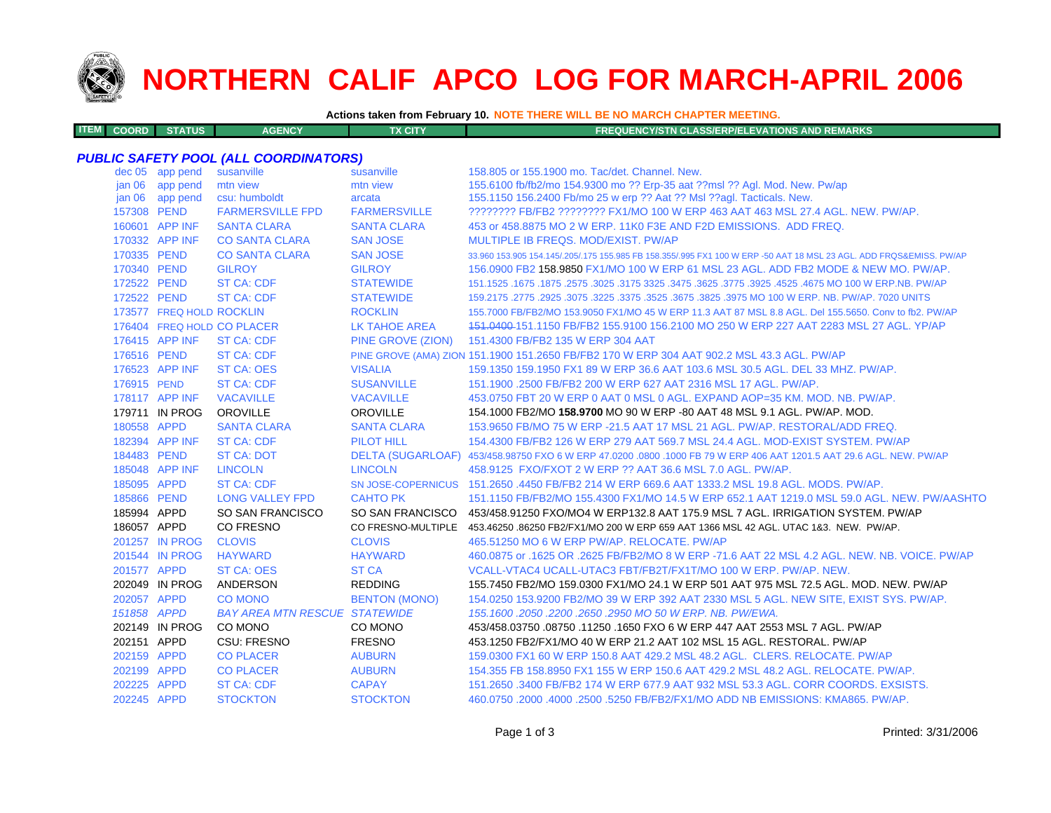

**ITEM**

# **NORTHERN CALIF APCO LOG FOR MARCH-APRIL 2006**

**Actions taken from February 10. NOTE THERE WILL BE NO MARCH CHAPTER MEETING.**

| <b>M COORD STATUS</b><br><b>FX CITY</b><br><b>AGENCY</b><br><b>FREQUENCY/STN CLASS/ERP/ELEVATIONS AND REMARKS</b> |  |
|-------------------------------------------------------------------------------------------------------------------|--|
|-------------------------------------------------------------------------------------------------------------------|--|

### *PUBLIC SAFETY POOL (ALL COORDINATORS)*

|                   | dec 05 app pend          | susanville                           | susanville           | 158,805 or 155,1900 mo. Tac/det. Channel. New.                                                                      |
|-------------------|--------------------------|--------------------------------------|----------------------|---------------------------------------------------------------------------------------------------------------------|
| jan 06            | app pend                 | mtn view                             | mtn view             | 155.6100 fb/fb2/mo 154.9300 mo ?? Erp-35 aat ??msl ?? Agl. Mod. New. Pw/ap                                          |
| jan <sub>06</sub> | app pend                 | csu: humboldt                        | arcata               | 155.1150 156.2400 Fb/mo 25 w erp ?? Aat ?? Msl ??aql. Tacticals. New.                                               |
| 157308 PEND       |                          | <b>FARMERSVILLE FPD</b>              | <b>FARMERSVILLE</b>  | ???????? FB/FB2 ???????? FX1/MO 100 W ERP 463 AAT 463 MSL 27.4 AGL, NEW, PW/AP,                                     |
|                   | 160601 APP INF           | <b>SANTA CLARA</b>                   | <b>SANTA CLARA</b>   | 453 or 458,8875 MO 2 W ERP, 11K0 F3E AND F2D EMISSIONS. ADD FREQ.                                                   |
|                   | 170332 APP INF           | <b>CO SANTA CLARA</b>                | <b>SAN JOSE</b>      | MULTIPLE IB FREQS, MOD/EXIST, PW/AP                                                                                 |
| 170335 PEND       |                          | <b>CO SANTA CLARA</b>                | <b>SAN JOSE</b>      | 33.960 153.905 154.145/.205/.175 155.985 FB 158.355/.995 FX1 100 W ERP -50 AAT 18 MSL 23 AGL. ADD FRQS&EMISS, PW/AP |
| 170340 PEND       |                          | <b>GILROY</b>                        | <b>GILROY</b>        | 156,0900 FB2 158,9850 FX1/MO 100 W ERP 61 MSL 23 AGL, ADD FB2 MODE & NEW MO, PW/AP.                                 |
| 172522 PEND       |                          | <b>ST CA: CDF</b>                    | <b>STATEWIDE</b>     | 151.1525 .1675 NO 100 W ERP.NB. PW/AP .5% 3775 .3625 .3475 .3625 .3775 .3025 .3175 .1675 .1675 .1675 .1675 .1       |
| 172522 PEND       |                          | <b>ST CA: CDF</b>                    | <b>STATEWIDE</b>     | 159.2175 .2775 .2925 .3075 .3225 .3375 .3525 .3675 .3825 .3975 MO 100 W ERP. NB. PW/AP. 7020 UNITS                  |
|                   | 173577 FREQ HOLD ROCKLIN |                                      | <b>ROCKLIN</b>       | 155.7000 FB/FB2/MO 153.9050 FX1/MO 45 W ERP 11.3 AAT 87 MSL 8.8 AGL. Del 155.5650. Conv to fb2. PW/AP               |
|                   |                          | 176404 FREQ HOLD CO PLACER           | <b>LK TAHOE AREA</b> | 151.0400-151.1150 FB/FB2 155.9100 156.2100 MO 250 W ERP 227 AAT 2283 MSL 27 AGL. YP/AP                              |
|                   | 176415 APP INF           | <b>ST CA: CDF</b>                    | PINE GROVE (ZION)    | 151.4300 FB/FB2 135 W ERP 304 AAT                                                                                   |
| 176516 PEND       |                          | <b>ST CA: CDF</b>                    |                      | PINE GROVE (AMA) ZION 151.1900 151.2650 FB/FB2 170 W ERP 304 AAT 902.2 MSL 43.3 AGL. PW/AP                          |
|                   | 176523 APP INF           | <b>ST CA: OES</b>                    | <b>VISALIA</b>       | 159.1350 159.1950 FX1 89 W ERP 36.6 AAT 103.6 MSL 30.5 AGL. DEL 33 MHZ. PW/AP.                                      |
| 176915 PEND       |                          | <b>ST CA: CDF</b>                    | <b>SUSANVILLE</b>    | 151.1900 .2500 FB/FB2 200 W ERP 627 AAT 2316 MSL 17 AGL. PW/AP.                                                     |
|                   | 178117 APP INF           | <b>VACAVILLE</b>                     | <b>VACAVILLE</b>     | 453.0750 FBT 20 W ERP 0 AAT 0 MSL 0 AGL, EXPAND AOP=35 KM, MOD, NB, PW/AP,                                          |
|                   | 179711 IN PROG           | OROVILLE                             | <b>OROVILLE</b>      | 154.1000 FB2/MO 158.9700 MO 90 W ERP -80 AAT 48 MSL 9.1 AGL. PW/AP. MOD.                                            |
| 180558 APPD       |                          | <b>SANTA CLARA</b>                   | <b>SANTA CLARA</b>   | 153,9650 FB/MO 75 W ERP -21.5 AAT 17 MSL 21 AGL, PW/AP, RESTORAL/ADD FREQ.                                          |
|                   | 182394 APP INF           | <b>ST CA: CDF</b>                    | <b>PILOT HILL</b>    | 154,4300 FB/FB2 126 W ERP 279 AAT 569.7 MSL 24.4 AGL, MOD-EXIST SYSTEM, PW/AP                                       |
| 184483 PEND       |                          | <b>ST CA: DOT</b>                    |                      | DELTA (SUGARLOAF) 453/458.98750 FXO 6 W ERP 47.0200 .0800 .1000 FB 79 W ERP 406 AAT 1201.5 AAT 29.6 AGL. NEW. PW/AP |
|                   | 185048 APP INF           | <b>LINCOLN</b>                       | <b>LINCOLN</b>       | 458.9125 FXO/FXOT 2 W ERP ?? AAT 36.6 MSL 7.0 AGL, PW/AP.                                                           |
| 185095 APPD       |                          | <b>ST CA: CDF</b>                    |                      | SN JOSE-COPERNICUS 151.2650 .4450 FB/FB2 214 W ERP 669.6 AAT 1333.2 MSL 19.8 AGL, MODS, PW/AP.                      |
| 185866 PEND       |                          | <b>LONG VALLEY FPD</b>               | <b>CAHTO PK</b>      | 151.1150 FB/FB2/MO 155.4300 FX1/MO 14.5 W ERP 652.1 AAT 1219.0 MSL 59.0 AGL. NEW. PW/AASHTO                         |
| 185994 APPD       |                          | SO SAN FRANCISCO                     |                      | SO SAN FRANCISCO 453/458.91250 FXO/MO4 W ERP132.8 AAT 175.9 MSL 7 AGL. IRRIGATION SYSTEM. PW/AP                     |
| 186057 APPD       |                          | <b>CO FRESNO</b>                     |                      | CO FRESNO-MULTIPLE 453.46250.86250 FB2/FX1/MO 200 W ERP 659 AAT 1366 MSL 42 AGL. UTAC 1&3. NEW. PW/AP.              |
|                   | 201257 IN PROG           | <b>CLOVIS</b>                        | <b>CLOVIS</b>        | 465.51250 MO 6 W ERP PW/AP, RELOCATE, PW/AP                                                                         |
|                   | 201544 IN PROG           | <b>HAYWARD</b>                       | <b>HAYWARD</b>       | 460.0875 or .1625 OR .2625 FB/FB2/MO 8 W ERP -71.6 AAT 22 MSL 4.2 AGL. NEW. NB. VOICE. PW/AP                        |
| 201577 APPD       |                          | <b>ST CA: OES</b>                    | <b>ST CA</b>         | VCALL-VTAC4 UCALL-UTAC3 FBT/FB2T/FX1T/MO 100 W ERP. PW/AP. NEW.                                                     |
|                   | 202049 IN PROG           | ANDERSON                             | <b>REDDING</b>       | 155.7450 FB2/MO 159.0300 FX1/MO 24.1 W ERP 501 AAT 975 MSL 72.5 AGL. MOD. NEW. PW/AP                                |
| 202057 APPD       |                          | <b>CO MONO</b>                       | <b>BENTON (MONO)</b> | 154.0250 153.9200 FB2/MO 39 W ERP 392 AAT 2330 MSL 5 AGL. NEW SITE, EXIST SYS. PW/AP.                               |
| 151858 APPD       |                          | <b>BAY AREA MTN RESCUE STATEWIDE</b> |                      | 155, 1600, 2050, 2200, 2650, 2950 MO 50 W ERP, NB, PW/EWA,                                                          |
|                   | 202149 IN PROG           | CO MONO                              | CO MONO              | 453/458.03750 .08750 .11250 .1650 FXO 6 W ERP 447 AAT 2553 MSL 7 AGL. PW/AP                                         |
| 202151 APPD       |                          | CSU: FRESNO                          | <b>FRESNO</b>        | 453.1250 FB2/FX1/MO 40 W ERP 21.2 AAT 102 MSL 15 AGL, RESTORAL, PW/AP                                               |
| 202159 APPD       |                          | <b>CO PLACER</b>                     | <b>AUBURN</b>        | 159,0300 FX1 60 W ERP 150.8 AAT 429.2 MSL 48.2 AGL. CLERS, RELOCATE, PW/AP                                          |
| 202199 APPD       |                          | <b>CO PLACER</b>                     | <b>AUBURN</b>        | 154.355 FB 158.8950 FX1 155 W ERP 150.6 AAT 429.2 MSL 48.2 AGL, RELOCATE, PW/AP.                                    |
| 202225 APPD       |                          | <b>ST CA: CDF</b>                    | <b>CAPAY</b>         | 151.2650 .3400 FB/FB2 174 W ERP 677.9 AAT 932 MSL 53.3 AGL, CORR COORDS, EXSISTS.                                   |
| 202245 APPD       |                          | <b>STOCKTON</b>                      | <b>STOCKTON</b>      | 460.0750 .2000 .4000 .2500 .5250 FB/FB2/FX1/MO ADD NB EMISSIONS: KMA865, PW/AP.                                     |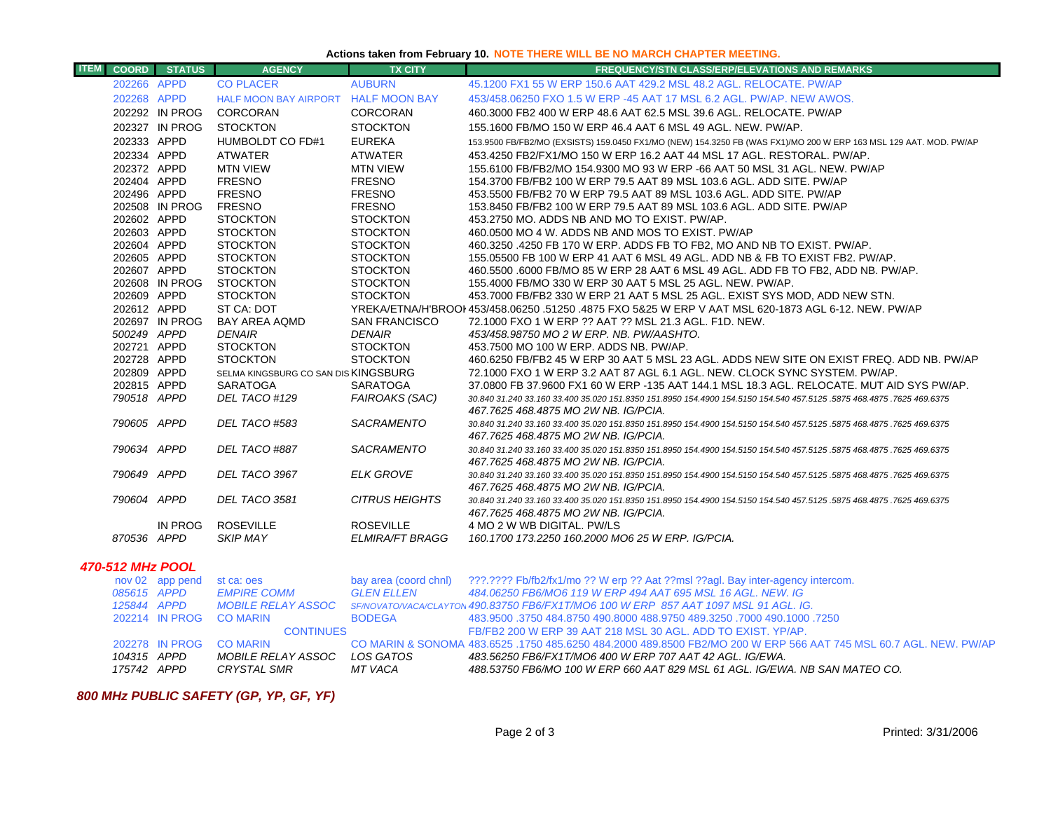#### **Actions taken from February 10. NOTE THERE WILL BE NO MARCH CHAPTER MEETING.**

| <b>ITEM</b>             | <b>COORD</b>               | <b>STATUS</b>   | <b>AGENCY</b>                                           | <b>TX CITY</b>         | <b>FREQUENCY/STN CLASS/ERP/ELEVATIONS AND REMARKS</b>                                                                                                                  |
|-------------------------|----------------------------|-----------------|---------------------------------------------------------|------------------------|------------------------------------------------------------------------------------------------------------------------------------------------------------------------|
|                         | 202266 APPD                |                 | <b>CO PLACER</b>                                        | <b>AUBURN</b>          | 45.1200 FX1 55 W ERP 150.6 AAT 429.2 MSL 48.2 AGL. RELOCATE. PW/AP                                                                                                     |
|                         | 202268 APPD                |                 | HALF MOON BAY AIRPORT HALF MOON BAY                     |                        | 453/458,06250 FXO 1.5 W ERP -45 AAT 17 MSL 6.2 AGL, PW/AP, NEW AWOS,                                                                                                   |
|                         |                            | 202292 IN PROG  | <b>CORCORAN</b>                                         | <b>CORCORAN</b>        | 460,3000 FB2 400 W ERP 48.6 AAT 62.5 MSL 39.6 AGL, RELOCATE, PW/AP                                                                                                     |
|                         |                            | 202327 IN PROG  | <b>STOCKTON</b>                                         | <b>STOCKTON</b>        | 155.1600 FB/MO 150 W ERP 46.4 AAT 6 MSL 49 AGL, NEW, PW/AP.                                                                                                            |
|                         | 202333 APPD                |                 | HUMBOLDT CO FD#1                                        | <b>EUREKA</b>          | 153.9500 FB/FB2/MO (EXSISTS) 159.0450 FX1/MO (NEW) 154.3250 FB (WAS FX1)/MO 200 W ERP 163 MSL 129 AAT. MOD. PW/AP                                                      |
|                         | 202334 APPD                |                 | <b>ATWATER</b>                                          | <b>ATWATER</b>         | 453.4250 FB2/FX1/MO 150 W ERP 16.2 AAT 44 MSL 17 AGL. RESTORAL. PW/AP.                                                                                                 |
|                         | 202372 APPD                |                 | <b>MTN VIEW</b>                                         | <b>MTN VIEW</b>        | 155.6100 FB/FB2/MO 154.9300 MO 93 W ERP -66 AAT 50 MSL 31 AGL. NEW. PW/AP                                                                                              |
|                         | 202404 APPD                |                 | <b>FRESNO</b>                                           | <b>FRESNO</b>          | 154,3700 FB/FB2 100 W ERP 79.5 AAT 89 MSL 103.6 AGL, ADD SITE, PW/AP                                                                                                   |
|                         | 202496 APPD                |                 | <b>FRESNO</b>                                           | <b>FRESNO</b>          | 453.5500 FB/FB2 70 W ERP 79.5 AAT 89 MSL 103.6 AGL. ADD SITE. PW/AP                                                                                                    |
|                         |                            | 202508 IN PROG  | <b>FRESNO</b>                                           | <b>FRESNO</b>          | 153.8450 FB/FB2 100 W ERP 79.5 AAT 89 MSL 103.6 AGL. ADD SITE. PW/AP                                                                                                   |
|                         | 202602 APPD                |                 | <b>STOCKTON</b>                                         | <b>STOCKTON</b>        | 453.2750 MO. ADDS NB AND MO TO EXIST. PW/AP.                                                                                                                           |
|                         | 202603 APPD                |                 | <b>STOCKTON</b>                                         | <b>STOCKTON</b>        | 460.0500 MO 4 W. ADDS NB AND MOS TO EXIST. PW/AP                                                                                                                       |
|                         | 202604 APPD                |                 | <b>STOCKTON</b>                                         | <b>STOCKTON</b>        | 460.3250 .4250 FB 170 W ERP. ADDS FB TO FB2, MO AND NB TO EXIST. PW/AP.                                                                                                |
|                         | 202605 APPD                |                 | <b>STOCKTON</b>                                         | <b>STOCKTON</b>        | 155,05500 FB 100 W ERP 41 AAT 6 MSL 49 AGL, ADD NB & FB TO EXIST FB2, PW/AP.                                                                                           |
|                         | 202607 APPD                |                 | <b>STOCKTON</b>                                         | <b>STOCKTON</b>        | 460.5500 .6000 FB/MO 85 W ERP 28 AAT 6 MSL 49 AGL. ADD FB TO FB2, ADD NB. PW/AP.                                                                                       |
|                         |                            | 202608 IN PROG  | <b>STOCKTON</b>                                         | <b>STOCKTON</b>        | 155,4000 FB/MO 330 W ERP 30 AAT 5 MSL 25 AGL, NEW, PW/AP.                                                                                                              |
|                         | 202609 APPD                |                 | <b>STOCKTON</b>                                         | <b>STOCKTON</b>        | 453.7000 FB/FB2 330 W ERP 21 AAT 5 MSL 25 AGL. EXIST SYS MOD, ADD NEW STN.                                                                                             |
|                         | 202612 APPD                |                 | ST CA: DOT                                              |                        | YREKA/ETNA/H'BROOI 453/458.06250 .51250 .4875 FXO 5&25 W ERP V AAT MSL 620-1873 AGL 6-12. NEW. PW/AP                                                                   |
|                         |                            | 202697 IN PROG  | <b>BAY AREA AQMD</b>                                    | <b>SAN FRANCISCO</b>   | 72.1000 FXO 1 W ERP ?? AAT ?? MSL 21.3 AGL, F1D, NEW.                                                                                                                  |
|                         | 500249 APPD                |                 | <b>DENAIR</b>                                           | <b>DENAIR</b>          | 453/458.98750 MO 2 W ERP. NB. PW/AASHTO.                                                                                                                               |
|                         | 202721 APPD                |                 | <b>STOCKTON</b>                                         | <b>STOCKTON</b>        | 453.7500 MO 100 W ERP. ADDS NB. PW/AP.                                                                                                                                 |
|                         | 202728 APPD<br>202809 APPD |                 | <b>STOCKTON</b><br>SELMA KINGSBURG CO SAN DIS KINGSBURG | <b>STOCKTON</b>        | 460,6250 FB/FB2 45 W ERP 30 AAT 5 MSL 23 AGL. ADDS NEW SITE ON EXIST FREQ. ADD NB, PW/AP<br>72.1000 FXO 1 W ERP 3.2 AAT 87 AGL 6.1 AGL. NEW. CLOCK SYNC SYSTEM. PW/AP. |
|                         | 202815 APPD                |                 | <b>SARATOGA</b>                                         | <b>SARATOGA</b>        | 37.0800 FB 37.9600 FX1 60 W ERP -135 AAT 144.1 MSL 18.3 AGL. RELOCATE. MUT AID SYS PW/AP.                                                                              |
|                         | 790518 APPD                |                 | DEL TACO #129                                           | <b>FAIROAKS (SAC)</b>  | 30,840 31,240 33,160 33,400 35,020 151,8350 151,8950 154,4900 154,5150 154,540 457,5125 ,5875 468,4875 ,7625 469,6375                                                  |
|                         |                            |                 |                                                         |                        | 467.7625 468.4875 MO 2W NB. IG/PCIA.                                                                                                                                   |
|                         | 790605 APPD                |                 | DEL TACO #583                                           | SACRAMENTO             | 30.840 31.240 33.160 33.400 35.020 151.8350 151.8950 154.4900 154.5150 154.540 457.5125 .5875 468.4875 .7625 469.6375                                                  |
|                         |                            |                 |                                                         |                        | 467.7625 468.4875 MO 2W NB. IG/PCIA.                                                                                                                                   |
|                         | 790634 APPD                |                 | DEL TACO #887                                           | <b>SACRAMENTO</b>      | 30.840 31.240 33.160 33.400 35.020 151.8350 151.8950 154.4900 154.5150 154.540 457.5125 .5875 468.4875 .7625 469.6375                                                  |
|                         |                            |                 |                                                         |                        | 467.7625 468.4875 MO 2W NB. IG/PCIA.                                                                                                                                   |
|                         | 790649 APPD                |                 | DEL TACO 3967                                           | <b>ELK GROVE</b>       | 30.840 31.240 33.160 33.400 35.020 151.8350 151.8950 154.4900 154.5150 154.540 457.5125 .5875 468.4875 .7625 469.6375                                                  |
|                         |                            |                 |                                                         |                        | 467.7625 468.4875 MO 2W NB. IG/PCIA.                                                                                                                                   |
|                         | 790604 APPD                |                 | DEL TACO 3581                                           | <b>CITRUS HEIGHTS</b>  | 30.840 31.240 33.160 33.400 35.020 151.8350 151.8950 154.4900 154.5150 154.540 457.5125 .5875 468.4875 .7625 469.6375                                                  |
|                         |                            | <b>IN PROG</b>  | <b>ROSEVILLE</b>                                        | <b>ROSEVILLE</b>       | 467.7625 468.4875 MO 2W NB. IG/PCIA.                                                                                                                                   |
|                         | 870536 APPD                |                 | <b>SKIP MAY</b>                                         | <b>ELMIRA/FT BRAGG</b> | 4 MO 2 W WB DIGITAL. PW/LS<br>160.1700 173.2250 160.2000 MO6 25 W ERP. IG/PCIA.                                                                                        |
|                         |                            |                 |                                                         |                        |                                                                                                                                                                        |
| <b>470-512 MHz POOL</b> |                            |                 |                                                         |                        |                                                                                                                                                                        |
|                         |                            | nov 02 app pend | st ca: oes                                              | bay area (coord chnl)  | ???.???? Fb/fb2/fx1/mo ?? W erp ?? Aat ??msl ??agl. Bay inter-agency intercom.                                                                                         |
|                         | 085615 APPD                |                 | <b>EMPIRE COMM</b>                                      | <b>GLEN ELLEN</b>      | 484.06250 FB6/MO6 119 W ERP 494 AAT 695 MSL 16 AGL. NEW. IG                                                                                                            |
|                         | 125844 APPD                |                 | <b>MOBILE RELAY ASSOC</b>                               |                        | SF/NOVATO/VACA/CLAYTON 490.83750 FB6/FX1T/MO6 100 W ERP 857 AAT 1097 MSL 91 AGL. IG.                                                                                   |
|                         |                            |                 | 202214 IN PROG CO MARIN                                 | <b>BODEGA</b>          | 483.9500 .3750 484.8750 490.8000 488.9750 489.3250 .7000 490.1000 .7250                                                                                                |

CONTINUES FB/FB2 200 W ERP 39 AAT 218 MSL 30 AGL. ADD TO EXIST. YP/AP. 202278 IN PROG CO MARIN

483.6525 .1750 485.6250 484.2000 489.8500 FB2/MO 200 W ERP 566 AAT 745 MSL 60.7 AGL. NEW. PW/AP

*APPD MOBILE RELAY ASSOC LOS GATOS 483.56250 FB6/FX1T/MO6 400 W ERP 707 AAT 42 AGL. IG/EWA.*

*APPD CRYSTAL SMR MT VACA 488.53750 FB6/MO 100 W ERP 660 AAT 829 MSL 61 AGL. IG/EWA. NB SAN MATEO CO.*

## *800 MHz PUBLIC SAFETY (GP, YP, GF, YF)*

*104315*

*175742*